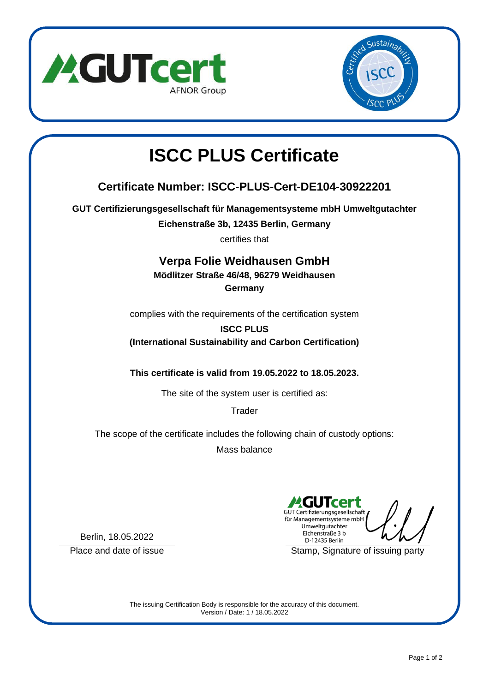

Berlin, 18.05.2022



# **ISCC PLUS Certificate**

# **Certificate Number: ISCC-PLUS-Cert-DE104-30922201**

**GUT Certifizierungsgesellschaft für Managementsysteme mbH Umweltgutachter**

**Eichenstraße 3b, 12435 Berlin, Germany**

certifies that

#### **Verpa Folie Weidhausen GmbH**

**Mödlitzer Straße 46/48, 96279 Weidhausen**

**Germany**

complies with the requirements of the certification system

### **ISCC PLUS (International Sustainability and Carbon Certification)**

**This certificate is valid from 19.05.2022 to 18.05.2023.**

The site of the system user is certified as:

**Trader** 

The scope of the certificate includes the following chain of custody options:

Mass balance

GUT Certifizierungsgesellschaft für Managementsysteme mbH Umweltgutachter Eichenstraße 3 b D-12435 Berlin

Place and date of issue Stamp, Signature of issuing party

The issuing Certification Body is responsible for the accuracy of this document. Version / Date: 1 / 18.05.2022

Page 1 of 2